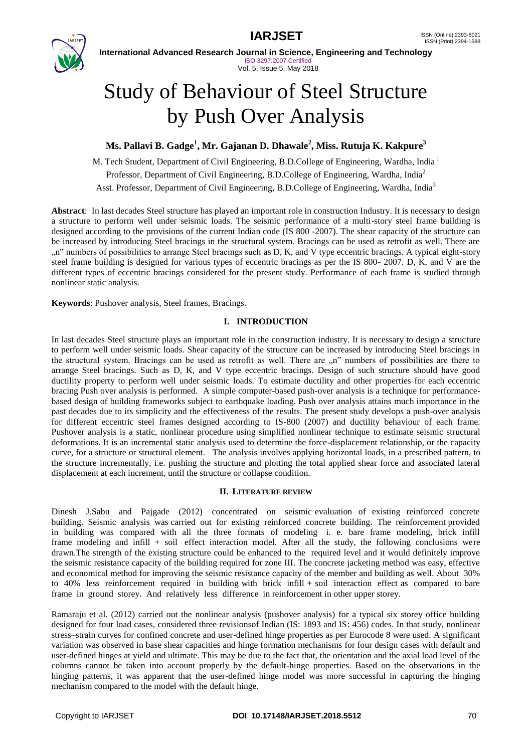

**International Advanced Research Journal in Science, Engineering and Technology** ISO 3297:2007 Certified Vol. 5, Issue 5, May 2018

# Study of Behaviour of Steel Structure by Push Over Analysis

## **Ms. Pallavi B. Gadge<sup>1</sup> , Mr. Gajanan D. Dhawale<sup>2</sup> , Miss. Rutuja K. Kakpure<sup>3</sup>**

M. Tech Student, Department of Civil Engineering, B.D.College of Engineering, Wardha, India<sup>1</sup> Professor, Department of Civil Engineering, B.D.College of Engineering, Wardha, India<sup>2</sup> Asst. Professor, Department of Civil Engineering, B.D.College of Engineering, Wardha, India<sup>3</sup>

**Abstract**: In last decades Steel structure has played an important role in construction Industry. It is necessary to design a structure to perform well under seismic loads. The seismic performance of a multi-story steel frame building is designed according to the provisions of the current Indian code (IS 800 -2007). The shear capacity of the structure can be increased by introducing Steel bracings in the structural system. Bracings can be used as retrofit as well. There are "n" numbers of possibilities to arrange Steel bracings such as D, K, and V type eccentric bracings. A typical eight-story steel frame building is designed for various types of eccentric bracings as per the IS 800- 2007. D, K, and V are the different types of eccentric bracings considered for the present study. Performance of each frame is studied through nonlinear static analysis.

**Keywords**: Pushover analysis, Steel frames, Bracings.

### **I. INTRODUCTION**

In last decades Steel structure plays an important role in the construction industry. It is necessary to design a structure to perform well under seismic loads. Shear capacity of the structure can be increased by introducing Steel bracings in the structural system. Bracings can be used as retrofit as well. There are "n" numbers of possibilities are there to arrange Steel bracings. Such as D, K, and V type eccentric bracings. Design of such structure should have good ductility property to perform well under seismic loads. To estimate ductility and other properties for each eccentric bracing Push over analysis is performed. A simple computer-based push-over analysis is a technique for performancebased design of building frameworks subject to earthquake loading. Push over analysis attains much importance in the past decades due to its simplicity and the effectiveness of the results. The present study develops a push-over analysis for different eccentric steel frames designed according to IS-800 (2007) and ductility behaviour of each frame. Pushover analysis is a static, nonlinear procedure using simplified nonlinear technique to estimate seismic structural deformations. It is an incremental static analysis used to determine the force-displacement relationship, or the capacity curve, for a structure or structural element. The analysis involves applying horizontal loads, in a prescribed pattern, to the structure incrementally, i.e. pushing the structure and plotting the total applied shear force and associated lateral displacement at each increment, until the structure or collapse condition.

### **II. LITERATURE REVIEW**

Dinesh J.Sabu and Pajgade (2012) concentrated on seismic evaluation of existing reinforced concrete building. Seismic analysis was carried out for existing reinforced concrete building. The reinforcement provided in building was compared with all the three formats of modeling i. e. bare frame modeling, brick infill frame modeling and infill + soil effect interaction model. After all the study, the following conclusions were drawn.The strength of the existing structure could be enhanced to the required level and it would definitely improve the seismic resistance capacity of the building required for zone III. The concrete jacketing method was easy, effective and economical method for improving the seismic resistance capacity of the member and building as well. About 30% to 40% less reinforcement required in building with brick infill + soil interaction effect as compared to bare frame in ground storey. And relatively less difference in reinforcement in other upper storey.

Ramaraju et al. (2012) carried out the nonlinear analysis (pushover analysis) for a typical six storey office building designed for four load cases, considered three revisionsof Indian (IS: 1893 and IS: 456) codes. In that study, nonlinear stress–strain curves for confined concrete and user-defined hinge properties as per Eurocode 8 were used. A significant variation was observed in base shear capacities and hinge formation mechanisms for four design cases with default and user-defined hinges at yield and ultimate. This may be due to the fact that, the orientation and the axial load level of the columns cannot be taken into account properly by the default-hinge properties. Based on the observations in the hinging patterns, it was apparent that the user-defined hinge model was more successful in capturing the hinging mechanism compared to the model with the default hinge.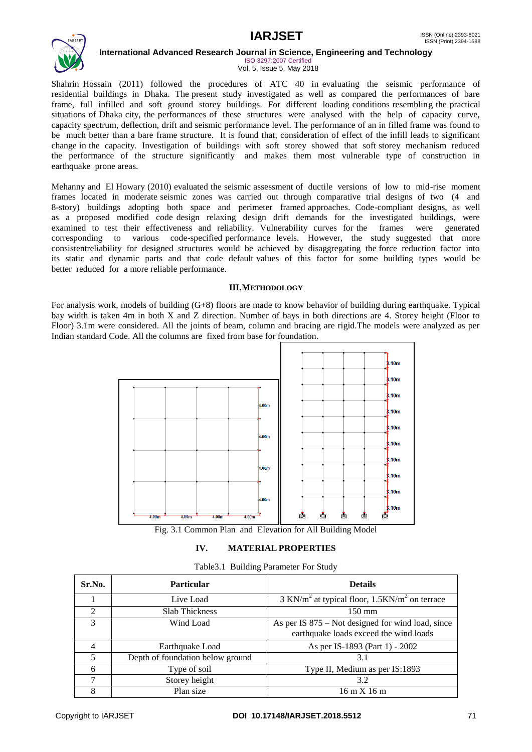

**International Advanced Research Journal in Science, Engineering and Technology**

ISO 3297:2007 Certified Vol. 5, Issue 5, May 2018

Shahrin Hossain (2011) followed the procedures of ATC 40 in evaluating the seismic performance of residential buildings in Dhaka. The present study investigated as well as compared the performances of bare frame, full infilled and soft ground storey buildings. For different loading conditions resembling the practical situations of Dhaka city, the performances of these structures were analysed with the help of capacity curve, capacity spectrum, deflection, drift and seismic performance level. The performance of an in filled frame was found to be much better than a bare frame structure. It is found that, consideration of effect of the infill leads to significant change in the capacity. Investigation of buildings with soft storey showed that soft storey mechanism reduced the performance of the structure significantly and makes them most vulnerable type of construction in earthquake prone areas.

Mehanny and El Howary (2010) evaluated the seismic assessment of ductile versions of low to mid-rise moment frames located in moderate seismic zones was carried out through comparative trial designs of two (4 and 8-story) buildings adopting both space and perimeter framed approaches. Code-compliant designs, as well as a proposed modified code design relaxing design drift demands for the investigated buildings, were examined to test their effectiveness and reliability. Vulnerability curves for the frames were generated corresponding to various code-specified performance levels. However, the study suggested that more consistentreliability for designed structures would be achieved by disaggregating the force reduction factor into its static and dynamic parts and that code default values of this factor for some building types would be better reduced for a more reliable performance.

### **III.METHODOLOGY**

For analysis work, models of building (G+8) floors are made to know behavior of building during earthquake. Typical bay width is taken 4m in both X and Z direction. Number of bays in both directions are 4. Storey height (Floor to Floor) 3.1m were considered. All the joints of beam, column and bracing are rigid.The models were analyzed as per Indian standard Code. All the columns are fixed from base for foundation.



Fig. 3.1 Common Plan and Elevation for All Building Model

### **IV. MATERIAL PROPERTIES**

|  |  | Table 3.1 Building Parameter For Study |  |  |
|--|--|----------------------------------------|--|--|
|--|--|----------------------------------------|--|--|

| Sr.No.                      | <b>Particular</b>                | <b>Details</b>                                                                                |
|-----------------------------|----------------------------------|-----------------------------------------------------------------------------------------------|
|                             | Live Load                        | $3$ KN/m <sup>2</sup> at typical floor, $1.5$ KN/m <sup>2</sup> on terrace                    |
| $\mathcal{D}_{\mathcal{L}}$ | <b>Slab Thickness</b>            | $150 \text{ mm}$                                                                              |
| $\mathcal{F}$               | Wind Load                        | As per IS $875$ – Not designed for wind load, since<br>earthquake loads exceed the wind loads |
| 4                           | Earthquake Load                  | As per IS-1893 (Part 1) - 2002                                                                |
| 5                           | Depth of foundation below ground | 3.1                                                                                           |
| 6                           | Type of soil                     | Type II, Medium as per IS:1893                                                                |
| 7                           | Storey height                    | 3.2                                                                                           |
| 8                           | Plan size                        | $16 \text{ m} X 16 \text{ m}$                                                                 |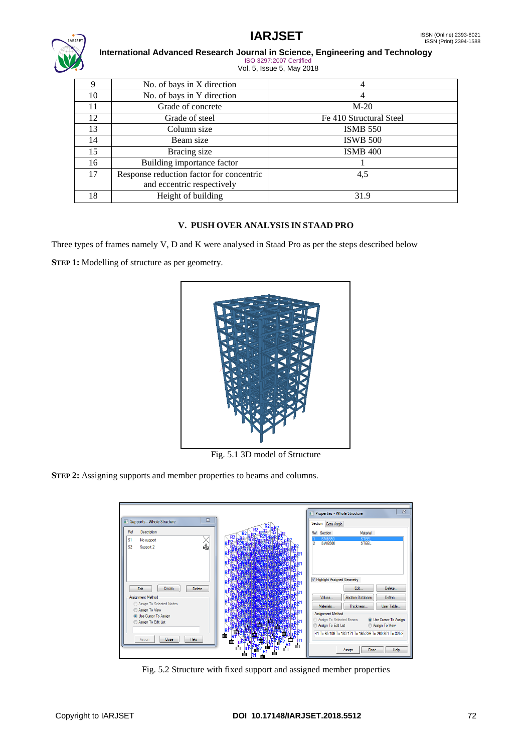

### **International Advanced Research Journal in Science, Engineering and Technology** ISO 3297:2007 Certified Vol. 5, Issue 5, May 2018

| .  |                                          |                         |  |  |
|----|------------------------------------------|-------------------------|--|--|
| 9  | No. of bays in X direction               | 4                       |  |  |
| 10 | No. of bays in Y direction               | 4                       |  |  |
| 11 | Grade of concrete                        | $M-20$                  |  |  |
| 12 | Grade of steel                           | Fe 410 Structural Steel |  |  |
| 13 | Column size                              | <b>ISMB 550</b>         |  |  |
| 14 | Beam size                                | <b>ISWB 500</b>         |  |  |
| 15 | Bracing size                             | <b>ISMB 400</b>         |  |  |
| 16 | Building importance factor               |                         |  |  |
| 17 | Response reduction factor for concentric | 4,5                     |  |  |
|    | and eccentric respectively               |                         |  |  |
| 18 | Height of building                       | 31.9                    |  |  |

### **V. PUSH OVER ANALYSIS IN STAAD PRO**

Three types of frames namely V, D and K were analysed in Staad Pro as per the steps described below

**STEP 1:** Modelling of structure as per geometry.



Fig. 5.1 3D model of Structure

**STEP 2:** Assigning supports and member properties to beams and columns.



Fig. 5.2 Structure with fixed support and assigned member properties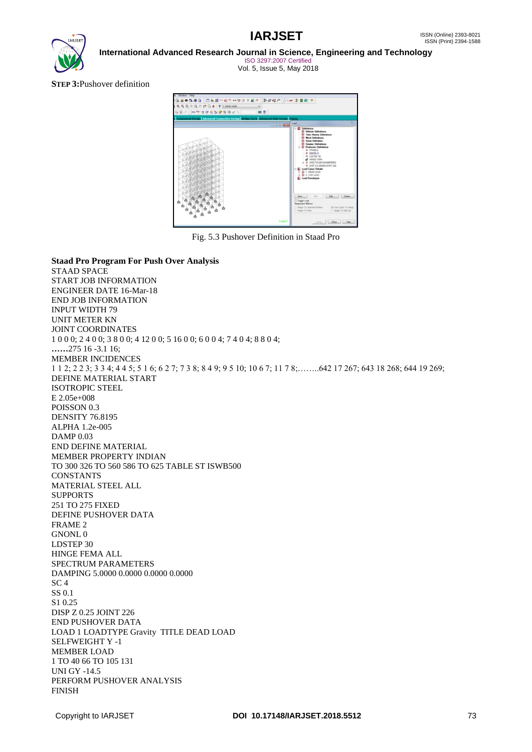

**International Advanced Research Journal in Science, Engineering and Technology**

ISO 3297:2007 Certified Vol. 5, Issue 5, May 2018

**STEP 3:**Pushover definition



Fig. 5.3 Pushover Definition in Staad Pro

**Staad Pro Program For Push Over Analysis** STAAD SPACE START JOB INFORMATION ENGINEER DATE 16-Mar-18 END JOB INFORMATION INPUT WIDTH 79 UNIT METER KN JOINT COORDINATES 1 0 0 0; 2 4 0 0; 3 8 0 0; 4 12 0 0; 5 16 0 0; 6 0 0 4; 7 4 0 4; 8 8 0 4; **……**275 16 -3.1 16; MEMBER INCIDENCES 1 1 2; 2 2 3; 3 3 4; 4 4 5; 5 1 6; 6 2 7; 7 3 8; 8 4 9; 9 5 10; 10 6 7; 11 7 8;……..642 17 267; 643 18 268; 644 19 269; DEFINE MATERIAL START ISOTROPIC STEEL E 2.05e+008 POISSON 0.3 DENSITY 76.8195 ALPHA 1.2e-005 DAMP 0.03 END DEFINE MATERIAL MEMBER PROPERTY INDIAN TO 300 326 TO 560 586 TO 625 TABLE ST ISWB500 **CONSTANTS** MATERIAL STEEL ALL SUPPORTS 251 TO 275 FIXED DEFINE PUSHOVER DATA FRAME 2 GNONL 0 LDSTEP 30 HINGE FEMA ALL SPECTRUM PARAMETERS DAMPING 5.0000 0.0000 0.0000 0.0000 SC 4 SS 0.1 S1 0.25 DISP Z 0.25 JOINT 226 END PUSHOVER DATA LOAD 1 LOADTYPE Gravity TITLE DEAD LOAD SELFWEIGHT Y -1 MEMBER LOAD 1 TO 40 66 TO 105 131 UNI GY -14.5 PERFORM PUSHOVER ANALYSIS FINISH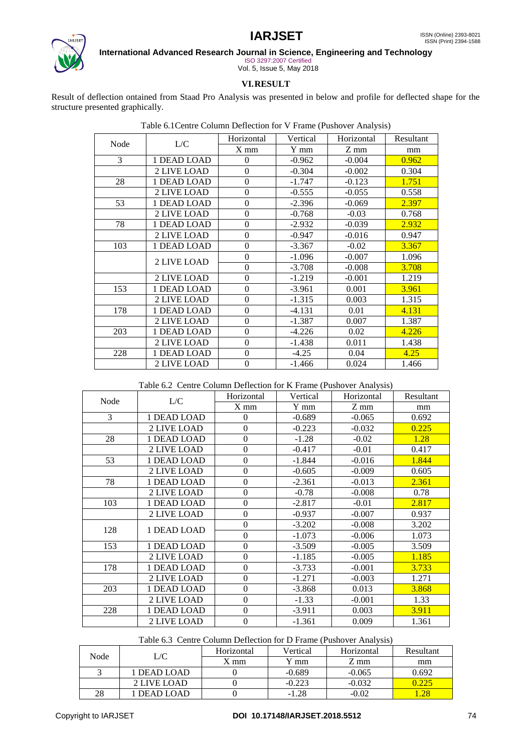

**International Advanced Research Journal in Science, Engineering and Technology**

ISO 3297:2007 Certified Vol. 5, Issue 5, May 2018

### **VI.RESULT**

Result of deflection ontained from Staad Pro Analysis was presented in below and profile for deflected shape for the structure presented graphically.

Table 6.1Centre Column Deflection for V Frame (Pushover Analysis)

|      | L/C         | Horizontal       | Vertical | Horizontal | Resultant |
|------|-------------|------------------|----------|------------|-----------|
| Node |             | $X$ mm           | Y mm     | Z mm       | mm        |
| 3    | 1 DEAD LOAD | 0                | $-0.962$ | $-0.004$   | 0.962     |
|      | 2 LIVE LOAD | $\theta$         | $-0.304$ | $-0.002$   | 0.304     |
| 28   | 1 DEAD LOAD | $\theta$         | $-1.747$ | $-0.123$   | 1.751     |
|      | 2 LIVE LOAD | $\overline{0}$   | $-0.555$ | $-0.055$   | 0.558     |
| 53   | 1 DEAD LOAD | $\overline{0}$   | $-2.396$ | $-0.069$   | 2.397     |
|      | 2 LIVE LOAD | $\boldsymbol{0}$ | $-0.768$ | $-0.03$    | 0.768     |
| 78   | 1 DEAD LOAD | $\overline{0}$   | $-2.932$ | $-0.039$   | 2.932     |
|      | 2 LIVE LOAD | $\overline{0}$   | $-0.947$ | $-0.016$   | 0.947     |
| 103  | 1 DEAD LOAD | $\theta$         | $-3.367$ | $-0.02$    | 3.367     |
|      | 2 LIVE LOAD | $\boldsymbol{0}$ | $-1.096$ | $-0.007$   | 1.096     |
|      |             | $\theta$         | $-3.708$ | $-0.008$   | 3.708     |
|      | 2 LIVE LOAD | $\boldsymbol{0}$ | $-1.219$ | $-0.001$   | 1.219     |
| 153  | 1 DEAD LOAD | $\boldsymbol{0}$ | $-3.961$ | 0.001      | 3.961     |
|      | 2 LIVE LOAD | $\theta$         | $-1.315$ | 0.003      | 1.315     |
| 178  | 1 DEAD LOAD | $\boldsymbol{0}$ | $-4.131$ | 0.01       | 4.131     |
|      | 2 LIVE LOAD | $\overline{0}$   | $-1.387$ | 0.007      | 1.387     |
| 203  | 1 DEAD LOAD | $\theta$         | $-4.226$ | 0.02       | 4.226     |
|      | 2 LIVE LOAD | $\boldsymbol{0}$ | $-1.438$ | 0.011      | 1.438     |
| 228  | 1 DEAD LOAD | $\overline{0}$   | $-4.25$  | 0.04       | 4.25      |
|      | 2 LIVE LOAD | $\overline{0}$   | $-1.466$ | 0.024      | 1.466     |

### Table 6.2 Centre Column Deflection for K Frame (Pushover Analysis)

| Node | L/C         | Horizontal       | Vertical | Horizontal | Resultant |
|------|-------------|------------------|----------|------------|-----------|
|      |             | $X$ mm           | Y mm     | Z mm       | mm        |
| 3    | 1 DEAD LOAD | $\theta$         | $-0.689$ | $-0.065$   | 0.692     |
|      | 2 LIVE LOAD | $\mathbf{0}$     | $-0.223$ | $-0.032$   | 0.225     |
| 28   | 1 DEAD LOAD | $\theta$         | $-1.28$  | $-0.02$    | 1.28      |
|      | 2 LIVE LOAD | $\boldsymbol{0}$ | $-0.417$ | $-0.01$    | 0.417     |
| 53   | 1 DEAD LOAD | $\overline{0}$   | $-1.844$ | $-0.016$   | 1.844     |
|      | 2 LIVE LOAD | $\theta$         | $-0.605$ | $-0.009$   | 0.605     |
| 78   | 1 DEAD LOAD | $\overline{0}$   | $-2.361$ | $-0.013$   | 2.361     |
|      | 2 LIVE LOAD | $\overline{0}$   | $-0.78$  | $-0.008$   | 0.78      |
| 103  | 1 DEAD LOAD | $\boldsymbol{0}$ | $-2.817$ | $-0.01$    | 2.817     |
|      | 2 LIVE LOAD | $\overline{0}$   | $-0.937$ | $-0.007$   | 0.937     |
| 128  | 1 DEAD LOAD | $\overline{0}$   | $-3.202$ | $-0.008$   | 3.202     |
|      |             | $\boldsymbol{0}$ | $-1.073$ | $-0.006$   | 1.073     |
| 153  | 1 DEAD LOAD | $\boldsymbol{0}$ | $-3.509$ | $-0.005$   | 3.509     |
|      | 2 LIVE LOAD | $\theta$         | $-1.185$ | $-0.005$   | 1.185     |
| 178  | 1 DEAD LOAD | $\boldsymbol{0}$ | $-3.733$ | $-0.001$   | 3.733     |
|      | 2 LIVE LOAD | $\mathbf{0}$     | $-1.271$ | $-0.003$   | 1.271     |
| 203  | 1 DEAD LOAD | $\mathbf{0}$     | $-3.868$ | 0.013      | 3.868     |
|      | 2 LIVE LOAD | $\overline{0}$   | $-1.33$  | $-0.001$   | 1.33      |
| 228  | 1 DEAD LOAD | $\overline{0}$   | $-3.911$ | 0.003      | 3.911     |
|      | 2 LIVE LOAD | $\overline{0}$   | $-1.361$ | 0.009      | 1.361     |

### Table 6.3 Centre Column Deflection for D Frame (Pushover Analysis)

| Node | $\cup$ C    | Horizontal | Vertical | Horizontal | Resultant |
|------|-------------|------------|----------|------------|-----------|
|      |             | $X$ mm     | Y mm     | Z mm       | mm        |
|      | 1 DEAD LOAD |            | $-0.689$ | $-0.065$   | 0.692     |
|      | 2 LIVE LOAD |            | $-0.223$ | $-0.032$   |           |
| 28   | 1 DEAD LOAD |            | $-1.28$  | -0.02      |           |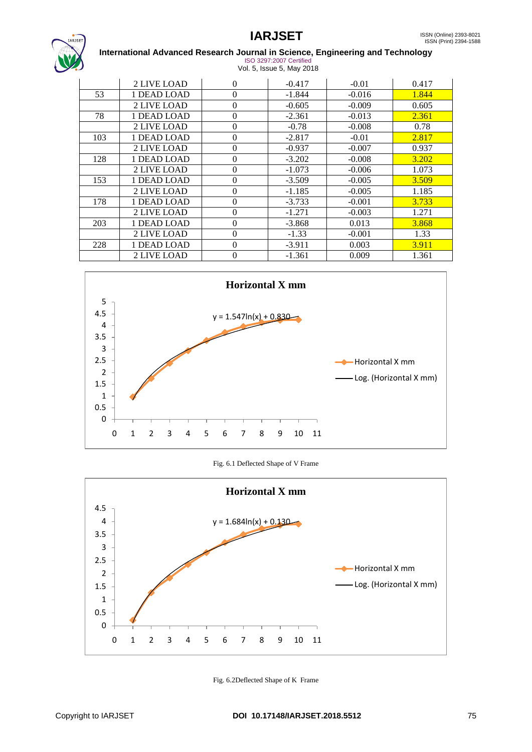

### **International Advanced Research Journal in Science, Engineering and Technology** ISO 3297:2007 Certified

| <u>IUU JZJI ZUUT UUIIIIITU</u> |  |
|--------------------------------|--|
| Vol. 5, Issue 5, May 2018      |  |

|     | 2 LIVE LOAD | $\Omega$       | $-0.417$ | $-0.01$  | 0.417 |
|-----|-------------|----------------|----------|----------|-------|
| 53  | 1 DEAD LOAD | $\theta$       | $-1.844$ | $-0.016$ | 1.844 |
|     | 2 LIVE LOAD | $\theta$       | $-0.605$ | $-0.009$ | 0.605 |
| 78  | 1 DEAD LOAD | $\theta$       | $-2.361$ | $-0.013$ | 2.361 |
|     | 2 LIVE LOAD | $\Omega$       | $-0.78$  | $-0.008$ | 0.78  |
| 103 | 1 DEAD LOAD | $\Omega$       | $-2.817$ | $-0.01$  | 2.817 |
|     | 2 LIVE LOAD | $\overline{0}$ | $-0.937$ | $-0.007$ | 0.937 |
| 128 | 1 DEAD LOAD | $\theta$       | $-3.202$ | $-0.008$ | 3.202 |
|     | 2 LIVE LOAD | $\theta$       | $-1.073$ | $-0.006$ | 1.073 |
| 153 | 1 DEAD LOAD | $\theta$       | $-3.509$ | $-0.005$ | 3.509 |
|     | 2 LIVE LOAD | $\Omega$       | $-1.185$ | $-0.005$ | 1.185 |
| 178 | 1 DEAD LOAD | $\theta$       | $-3.733$ | $-0.001$ | 3.733 |
|     | 2 LIVE LOAD | $\overline{0}$ | $-1.271$ | $-0.003$ | 1.271 |
| 203 | 1 DEAD LOAD | $\theta$       | $-3.868$ | 0.013    | 3.868 |
|     | 2 LIVE LOAD | $\theta$       | $-1.33$  | $-0.001$ | 1.33  |
| 228 | 1 DEAD LOAD | $\theta$       | $-3.911$ | 0.003    | 3.911 |
|     | 2 LIVE LOAD | $\theta$       | -1.361   | 0.009    | 1.361 |



Fig. 6.1 Deflected Shape of V Frame



Fig. 6.2Deflected Shape of K Frame